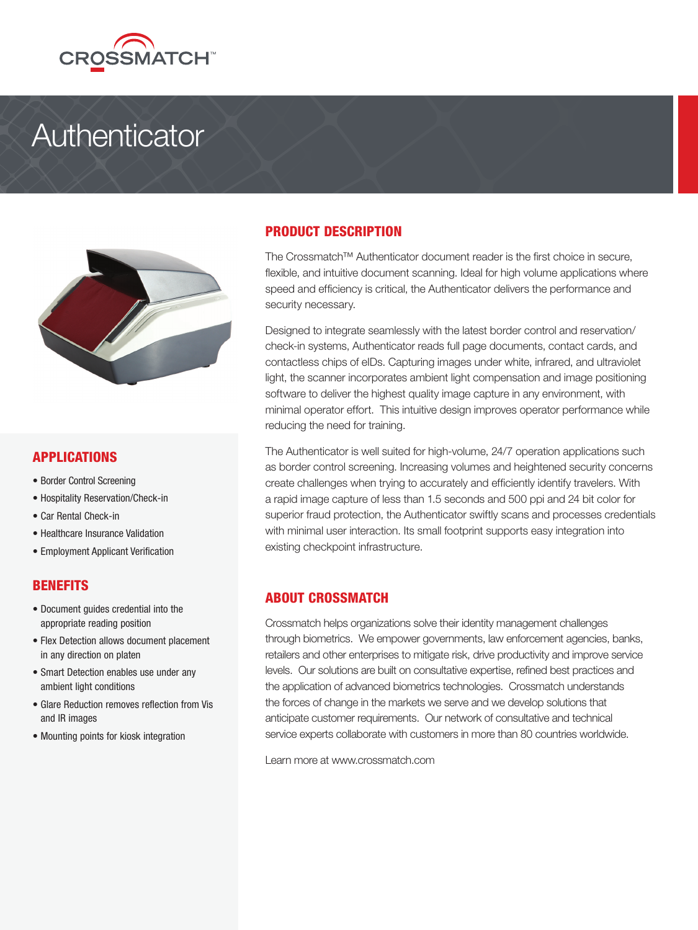

# **Authenticator**



# APPLICATIONS

- Border Control Screening
- Hospitality Reservation/Check-in
- Car Rental Check-in
- Healthcare Insurance Validation
- Employment Applicant Verification

### BENEFITS

- Document guides credential into the appropriate reading position
- Flex Detection allows document placement in any direction on platen
- Smart Detection enables use under any ambient light conditions
- Glare Reduction removes reflection from Vis and IR images
- Mounting points for kiosk integration

# PRODUCT DESCRIPTION

The Crossmatch™ Authenticator document reader is the first choice in secure, flexible, and intuitive document scanning. Ideal for high volume applications where speed and efficiency is critical, the Authenticator delivers the performance and security necessary.

Designed to integrate seamlessly with the latest border control and reservation/ check-in systems, Authenticator reads full page documents, contact cards, and contactless chips of eIDs. Capturing images under white, infrared, and ultraviolet light, the scanner incorporates ambient light compensation and image positioning software to deliver the highest quality image capture in any environment, with minimal operator effort. This intuitive design improves operator performance while reducing the need for training.

The Authenticator is well suited for high-volume, 24/7 operation applications such as border control screening. Increasing volumes and heightened security concerns create challenges when trying to accurately and efficiently identify travelers. With a rapid image capture of less than 1.5 seconds and 500 ppi and 24 bit color for superior fraud protection, the Authenticator swiftly scans and processes credentials with minimal user interaction. Its small footprint supports easy integration into existing checkpoint infrastructure.

### ABOUT CROSSMATCH

Crossmatch helps organizations solve their identity management challenges through biometrics. We empower governments, law enforcement agencies, banks, retailers and other enterprises to mitigate risk, drive productivity and improve service levels. Our solutions are built on consultative expertise, refined best practices and the application of advanced biometrics technologies. Crossmatch understands the forces of change in the markets we serve and we develop solutions that anticipate customer requirements. Our network of consultative and technical service experts collaborate with customers in more than 80 countries worldwide.

Learn more at www.crossmatch.com